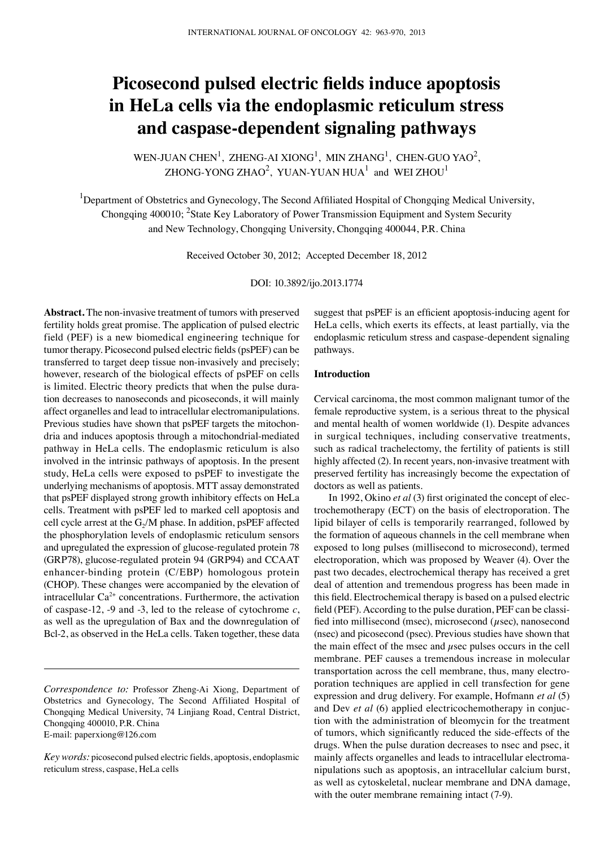# **Picosecond pulsed electric fields induce apoptosis in HeLa cells via the endoplasmic reticulum stress and caspase-dependent signaling pathways**

WEN-JUAN CHEN<sup>1</sup>, ZHENG-AI XIONG<sup>1</sup>, MIN ZHANG<sup>1</sup>, CHEN-GUO YAO<sup>2</sup>, ZHONG-YONG ZHAO $^2$ , YUAN-YUAN HUA $^1$  and WEI ZHOU $^1$ 

<sup>1</sup>Department of Obstetrics and Gynecology, The Second Affiliated Hospital of Chongqing Medical University, Chongqing 400010; <sup>2</sup>State Key Laboratory of Power Transmission Equipment and System Security and New Technology, Chongqing University, Chongqing 400044, P.R. China

Received October 30, 2012; Accepted December 18, 2012

DOI: 10.3892/ijo.2013.1774

**Abstract.** The non-invasive treatment of tumors with preserved fertility holds great promise. The application of pulsed electric field (PEF) is a new biomedical engineering technique for tumor therapy. Picosecond pulsed electric fields (psPEF) can be transferred to target deep tissue non-invasively and precisely; however, research of the biological effects of psPEF on cells is limited. Electric theory predicts that when the pulse duration decreases to nanoseconds and picoseconds, it will mainly affect organelles and lead to intracellular electromanipulations. Previous studies have shown that psPEF targets the mitochondria and induces apoptosis through a mitochondrial-mediated pathway in HeLa cells. The endoplasmic reticulum is also involved in the intrinsic pathways of apoptosis. In the present study, HeLa cells were exposed to psPEF to investigate the underlying mechanisms of apoptosis. MTT assay demonstrated that psPEF displayed strong growth inhibitory effects on HeLa cells. Treatment with psPEF led to marked cell apoptosis and cell cycle arrest at the  $G<sub>2</sub>/M$  phase. In addition, psPEF affected the phosphorylation levels of endoplasmic reticulum sensors and upregulated the expression of glucose-regulated protein 78 (GRP78), glucose-regulated protein 94 (GRP94) and CCAAT enhancer-binding protein (C/EBP) homologous protein (CHOP). These changes were accompanied by the elevation of intracellular  $Ca^{2+}$  concentrations. Furthermore, the activation of caspase-12, -9 and -3, led to the release of cytochrome *c*, as well as the upregulation of Bax and the downregulation of Bcl-2, as observed in the HeLa cells. Taken together, these data

*Correspondence to:* Professor Zheng-Ai Xiong, Department of Obstetrics and Gynecology, The Second Affiliated Hospital of Chongqing Medical University, 74 Linjiang Road, Central District, Chongqing 400010, P.R. China E-mail: paperxiong@126.com

*Key words:* picosecond pulsed electric fields, apoptosis, endoplasmic reticulum stress, caspase, HeLa cells

suggest that psPEF is an efficient apoptosis-inducing agent for HeLa cells, which exerts its effects, at least partially, via the endoplasmic reticulum stress and caspase-dependent signaling pathways.

# **Introduction**

Cervical carcinoma, the most common malignant tumor of the female reproductive system, is a serious threat to the physical and mental health of women worldwide (1). Despite advances in surgical techniques, including conservative treatments, such as radical trachelectomy, the fertility of patients is still highly affected (2). In recent years, non-invasive treatment with preserved fertility has increasingly become the expectation of doctors as well as patients.

In 1992, Okino *et al* (3) first originated the concept of electrochemotherapy (ECT) on the basis of electroporation. The lipid bilayer of cells is temporarily rearranged, followed by the formation of aqueous channels in the cell membrane when exposed to long pulses (millisecond to microsecond), termed electroporation, which was proposed by Weaver (4). Over the past two decades, electrochemical therapy has received a gret deal of attention and tremendous progress has been made in this field. Electrochemical therapy is based on a pulsed electric field (PEF). According to the pulse duration, PEF can be classified into millisecond (msec), microsecond ( $\mu$ sec), nanosecond (nsec) and picosecond (psec). Previous studies have shown that the main effect of the msec and  $\mu$ sec pulses occurs in the cell membrane. PEF causes a tremendous increase in molecular transportation across the cell membrane, thus, many electroporation techniques are applied in cell transfection for gene expression and drug delivery. For example, Hofmann *et al* (5) and Dev *et al* (6) applied electricochemotherapy in conjuction with the administration of bleomycin for the treatment of tumors, which significantly reduced the side-effects of the drugs. When the pulse duration decreases to nsec and psec, it mainly affects organelles and leads to intracellular electromanipulations such as apoptosis, an intracellular calcium burst, as well as cytoskeletal, nuclear membrane and DNA damage, with the outer membrane remaining intact (7-9).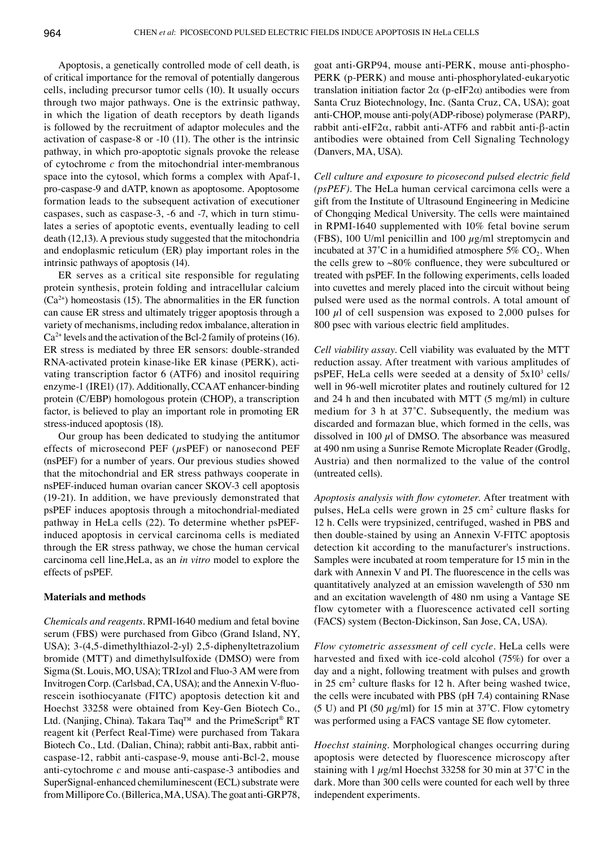Apoptosis, a genetically controlled mode of cell death, is of critical importance for the removal of potentially dangerous cells, including precursor tumor cells (10). It usually occurs through two major pathways. One is the extrinsic pathway, in which the ligation of death receptors by death ligands is followed by the recruitment of adaptor molecules and the activation of caspase-8 or -10 (11). The other is the intrinsic pathway, in which pro-apoptotic signals provoke the release of cytochrome *c* from the mitochondrial inter-membranous space into the cytosol, which forms a complex with Apaf-1, pro-caspase-9 and dATP, known as apoptosome. Apoptosome formation leads to the subsequent activation of executioner caspases, such as caspase-3, -6 and -7, which in turn stimulates a series of apoptotic events, eventually leading to cell death (12,13). A previous study suggested that the mitochondria and endoplasmic reticulum (ER) play important roles in the intrinsic pathways of apoptosis (14).

ER serves as a critical site responsible for regulating protein synthesis, protein folding and intracellular calcium  $(Ca<sup>2+</sup>)$  homeostasis (15). The abnormalities in the ER function can cause ER stress and ultimately trigger apoptosis through a variety of mechanisms, including redox imbalance, alteration in  $Ca<sup>2+</sup>$  levels and the activation of the Bcl-2 family of proteins (16). ER stress is mediated by three ER sensors: double-stranded RNA-activated protein kinase-like ER kinase (PERK), activating transcription factor 6 (ATF6) and inositol requiring enzyme-1 (IRE1) (17). Additionally, CCAAT enhancer-binding protein (C/EBP) homologous protein (CHOP), a transcription factor, is believed to play an important role in promoting ER stress-induced apoptosis (18).

Our group has been dedicated to studying the antitumor effects of microsecond PEF  $(\mu s$ PEF) or nanosecond PEF (nsPEF) for a number of years. Our previous studies showed that the mitochondrial and ER stress pathways cooperate in nsPEF-induced human ovarian cancer SKOV-3 cell apoptosis (19-21). In addition, we have previously demonstrated that psPEF induces apoptosis through a mitochondrial-mediated pathway in HeLa cells (22). To determine whether psPEFinduced apoptosis in cervical carcinoma cells is mediated through the ER stress pathway, we chose the human cervical carcinoma cell line,HeLa, as an *in vitro* model to explore the effects of psPEF.

## **Materials and methods**

*Chemicals and reagents.* RPMI-1640 medium and fetal bovine serum (FBS) were purchased from Gibco (Grand Island, NY, USA); 3-(4,5-dimethylthiazol-2-yl) 2,5-diphenyltetrazolium bromide (MTT) and dimethylsulfoxide (DMSO) were from Sigma (St. Louis, MO, USA); TRIzol and Fluo-3 AM were from Invitrogen Corp. (Carlsbad, CA, USA); and the Annexin Ⅴ-fluorescein isothiocyanate (FITC) apoptosis detection kit and Hoechst 33258 were obtained from Key-Gen Biotech Co., Ltd. (Nanjing, China). Takara Taq™ and the PrimeScript® RT reagent kit (Perfect Real-Time) were purchased from Takara Biotech Co., Ltd. (Dalian, China); rabbit anti-Bax, rabbit anticaspase-12, rabbit anti-caspase-9, mouse anti-Bcl-2, mouse anti-cytochrome *c* and mouse anti-caspase-3 antibodies and SuperSignal-enhanced chemiluminescent (ECL) substrate were from MilliporeCo. (Billerica, MA, USA). The goat anti-GRP78, goat anti-GRP94, mouse anti-PERK, mouse anti-phospho-PERK (p-PERK) and mouse anti-phosphorylated-eukaryotic translation initiation factor 2α (p-eIF2α) antibodies were from Santa Cruz Biotechnology, Inc. (Santa Cruz, CA, USA); goat anti-CHOP, mouse anti-poly(ADP-ribose) polymerase (PARP), rabbit anti-eIF2α, rabbit anti-ATF6 and rabbit anti-β-actin antibodies were obtained from Cell Signaling Technology (Danvers, MA, USA).

*Cell culture and exposure to picosecond pulsed electric field (psPEF).* The HeLa human cervical carcimona cells were a gift from the Institute of Ultrasound Engineering in Medicine of Chongqing Medical University. The cells were maintained in RPMI-1640 supplemented with 10% fetal bovine serum (FBS), 100 U/ml penicillin and 100  $\mu$ g/ml streptomycin and incubated at  $37^{\circ}$ C in a humidified atmosphere  $5\%$  CO<sub>2</sub>. When the cells grew to ~80% confluence, they were subcultured or treated with psPEF. In the following experiments, cells loaded into cuvettes and merely placed into the circuit without being pulsed were used as the normal controls. A total amount of 100  $\mu$ l of cell suspension was exposed to 2,000 pulses for 800 psec with various electric field amplitudes.

*Cell viability assay.* Cell viability was evaluated by the MTT reduction assay. After treatment with various amplitudes of psPEF, HeLa cells were seeded at a density of  $5x10^3$  cells/ well in 96-well microtiter plates and routinely cultured for 12 and 24 h and then incubated with MTT (5 mg/ml) in culture medium for 3 h at 37˚C. Subsequently, the medium was discarded and formazan blue, which formed in the cells, was dissolved in 100  $\mu$ l of DMSO. The absorbance was measured at 490 nm using a Sunrise Remote Microplate Reader (Grodlg, Austria) and then normalized to the value of the control (untreated cells).

*Apoptosis analysis with flow cytometer.* After treatment with pulses, HeLa cells were grown in 25 cm<sup>2</sup> culture flasks for 12 h. Cells were trypsinized, centrifuged, washed in PBS and then double-stained by using an Annexin Ⅴ-FITC apoptosis detection kit according to the manufacturer's instructions. Samples were incubated at room temperature for 15 min in the dark with Annexin Ⅴ and PI. The fluorescence in the cells was quantitatively analyzed at an emission wavelength of 530 nm and an excitation wavelength of 480 nm using a Vantage SE flow cytometer with a fluorescence activated cell sorting (FACS) system (Becton-Dickinson, San Jose, CA, USA).

*Flow cytometric assessment of cell cycle.* HeLa cells were harvested and fixed with ice-cold alcohol (75%) for over a day and a night, following treatment with pulses and growth in 25 cm<sup>2</sup> culture flasks for 12 h. After being washed twice, the cells were incubated with PBS (pH 7.4) containing RNase (5 U) and PI (50  $\mu$ g/ml) for 15 min at 37°C. Flow cytometry was performed using a FACS vantage SE flow cytometer.

*Hoechst staining.* Morphological changes occurring during apoptosis were detected by fluorescence microscopy after staining with 1  $\mu$ g/ml Hoechst 33258 for 30 min at 37°C in the dark. More than 300 cells were counted for each well by three independent experiments.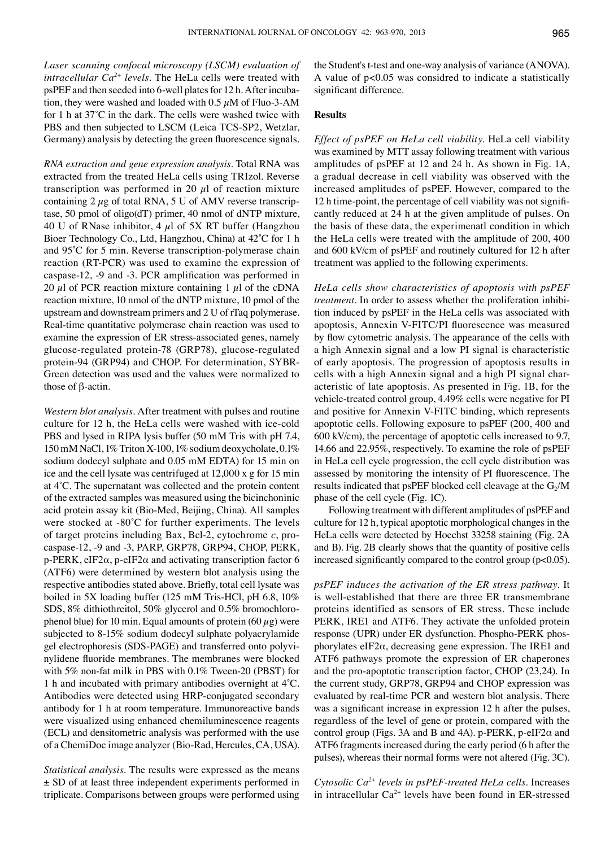*Laser scanning confocal microscopy (LSCM) evaluation of intracellular Ca2+ levels.* The HeLa cells were treated with psPEF and then seeded into 6-well plates for 12 h. After incubation, they were washed and loaded with  $0.5 \mu M$  of Fluo-3-AM for 1 h at 37˚C in the dark. The cells were washed twice with PBS and then subjected to LSCM (Leica TCS-SP2, Wetzlar, Germany) analysis by detecting the green fluorescence signals.

*RNA extraction and gene expression analysis.* Total RNA was extracted from the treated HeLa cells using TRIzol. Reverse transcription was performed in 20  $\mu$ l of reaction mixture containing  $2 \mu$ g of total RNA, 5 U of AMV reverse transcriptase, 50 pmol of oligo(dT) primer, 40 nmol of dNTP mixture, 40 U of RNase inhibitor, 4  $\mu$ l of 5X RT buffer (Hangzhou Bioer Technology Co., Ltd, Hangzhou, China) at 42˚C for 1 h and 95˚C for 5 min. Reverse transcription-polymerase chain reaction (RT-PCR) was used to examine the expression of caspase-12, -9 and -3. PCR amplification was performed in 20  $\mu$ l of PCR reaction mixture containing 1  $\mu$ l of the cDNA reaction mixture, 10 nmol of the dNTP mixture, 10 pmol of the upstream and downstream primers and 2 U of rTaq polymerase. Real-time quantitative polymerase chain reaction was used to examine the expression of ER stress-associated genes, namely glucose-regulated protein-78 (GRP78), glucose-regulated protein-94 (GRP94) and CHOP. For determination, SYBR-Green detection was used and the values were normalized to those of β-actin.

*Western blot analysis.* After treatment with pulses and routine culture for 12 h, the HeLa cells were washed with ice-cold PBS and lysed in RIPA lysis buffer (50 mM Tris with pH 7.4, 150mM NaCl, 1% Triton X-100, 1% sodium deoxycholate, 0.1% sodium dodecyl sulphate and 0.05 mM EDTA) for 15 min on ice and the cell lysate was centrifuged at 12,000 x g for 15 min at 4˚C. The supernatant was collected and the protein content of the extracted samples was measured using the bicinchoninic acid protein assay kit (Bio-Med, Beijing, China). All samples were stocked at -80˚C for further experiments. The levels of target proteins including Bax, Bcl-2, cytochrome *c*, procaspase-12, -9 and -3, PARP, GRP78, GRP94, CHOP, PERK, p-PERK, eIF2 $\alpha$ , p-eIF2 $\alpha$  and activating transcription factor 6 (ATF6) were determined by western blot analysis using the respective antibodies stated above. Briefly, total cell lysate was boiled in 5X loading buffer (125 mM Tris-HCl, pH 6.8, 10% SDS, 8% dithiothreitol, 50% glycerol and 0.5% bromochlorophenol blue) for 10 min. Equal amounts of protein (60  $\mu$ g) were subjected to 8-15% sodium dodecyl sulphate polyacrylamide gel electrophoresis (SDS-PAGE) and transferred onto polyvinylidene fluoride membranes. The membranes were blocked with 5% non-fat milk in PBS with 0.1% Tween-20 (PBST) for 1 h and incubated with primary antibodies overnight at 4˚C. Antibodies were detected using HRP-conjugated secondary antibody for 1 h at room temperature. Immunoreactive bands were visualized using enhanced chemiluminescence reagents (ECL) and densitometric analysis was performed with the use of a ChemiDoc image analyzer (Bio-Rad, Hercules, CA, USA).

*Statistical analysis.* The results were expressed as the means ± SD of at least three independent experiments performed in triplicate. Comparisons between groups were performed using the Student's t-test and one-way analysis of variance (ANOVA). A value of p<0.05 was considred to indicate a statistically significant difference.

#### **Results**

*Effect of psPEF on HeLa cell viability.* HeLa cell viability was examined by MTT assay following treatment with various amplitudes of psPEF at 12 and 24 h. As shown in Fig. 1A, a gradual decrease in cell viability was observed with the increased amplitudes of psPEF. However, compared to the 12 h time-point, the percentage of cell viability was not significantly reduced at 24 h at the given amplitude of pulses. On the basis of these data, the experimenatl condition in which the HeLa cells were treated with the amplitude of 200, 400 and 600 kV/cm of psPEF and routinely cultured for 12 h after treatment was applied to the following experiments.

*HeLa cells show characteristics of apoptosis with psPEF treatment.* In order to assess whether the proliferation inhibition induced by psPEF in the HeLa cells was associated with apoptosis, Annexin V-FITC/PI fluorescence was measured by flow cytometric analysis. The appearance of the cells with a high Annexin signal and a low PI signal is characteristic of early apoptosis. The progression of apoptosis results in cells with a high Annexin signal and a high PI signal characteristic of late apoptosis. As presented in Fig. 1B, for the vehicle-treated control group, 4.49% cells were negative for PI and positive for Annexin V-FITC binding, which represents apoptotic cells. Following exposure to psPEF (200, 400 and 600 kV/cm), the percentage of apoptotic cells increased to 9.7, 14.66 and 22.95%, respectively. To examine the role of psPEF in HeLa cell cycle progression, the cell cycle distribution was assessed by monitoring the intensity of PI fluorescence. The results indicated that psPEF blocked cell cleavage at the  $G_2/M$ phase of the cell cycle (Fig. 1C).

Following treatment with different amplitudes of psPEF and culture for 12 h, typical apoptotic morphological changes in the HeLa cells were detected by Hoechst 33258 staining (Fig. 2A and B). Fig. 2B clearly shows that the quantity of positive cells increased significantly compared to the control group (p<0.05).

*psPEF induces the activation of the ER stress pathway.* It is well-established that there are three ER transmembrane proteins identified as sensors of ER stress. These include PERK, IRE1 and ATF6. They activate the unfolded protein response (UPR) under ER dysfunction. Phospho-PERK phosphorylates eIF2 $\alpha$ , decreasing gene expression. The IRE1 and ATF6 pathways promote the expression of ER chaperones and the pro-apoptotic transcription factor, CHOP (23,24). In the current study, GRP78, GRP94 and CHOP expression was evaluated by real-time PCR and western blot analysis. There was a significant increase in expression 12 h after the pulses, regardless of the level of gene or protein, compared with the control group (Figs. 3A and B and 4A). p-PERK, p-eIF2 $\alpha$  and ATF6 fragments increased during the early period (6 h after the pulses), whereas their normal forms were not altered (Fig. 3C).

*Cytosolic Ca2+ levels in psPEF-treated HeLa cells.* Increases in intracellular  $Ca^{2+}$  levels have been found in ER-stressed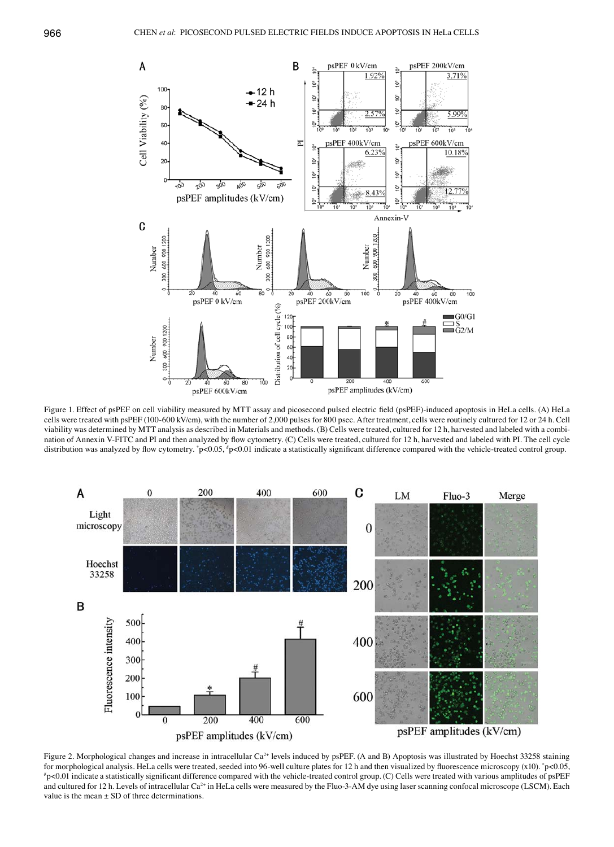

Figure 1. Effect of psPEF on cell viability measured by MTT assay and picosecond pulsed electric field (psPEF)-induced apoptosis in HeLa cells. (A) HeLa cells were treated with psPEF (100-600 kV/cm), with the number of 2,000 pulses for 800 psec. After treatment, cells were routinely cultured for 12 or 24 h. Cell viability was determined by MTT analysis as described in Materials and methods. (B) Cells were treated, cultured for 12 h, harvested and labeled with a combination of Annexin Ⅴ-FITC and PI and then analyzed by flow cytometry. (C) Cells were treated, cultured for 12 h, harvested and labeled with PI. The cell cycle distribution was analyzed by flow cytometry. \*p<0.05, \*p<0.01 indicate a statistically significant difference compared with the vehicle-treated control group.



Figure 2. Morphological changes and increase in intracellular Ca<sup>2+</sup> levels induced by psPEF. (A and B) Apoptosis was illustrated by Hoechst 33258 staining for morphological analysis. HeLa cells were treated, seeded into 96-well culture plates for 12 h and then visualized by fluorescence microscopy (x10). \*p<0.05,<br>\*p<0.01 indicate a statistically significant difference compar  $p$ <0.01 indicate a statistically significant difference compared with the vehicle-treated control group. (C) Cells were treated with various amplitudes of psPEF and cultured for 12 h. Levels of intracellular Ca<sup>2+</sup> in HeLa cells were measured by the Fluo-3-AM dye using laser scanning confocal microscope (LSCM). Each value is the mean  $\pm$  SD of three determinations.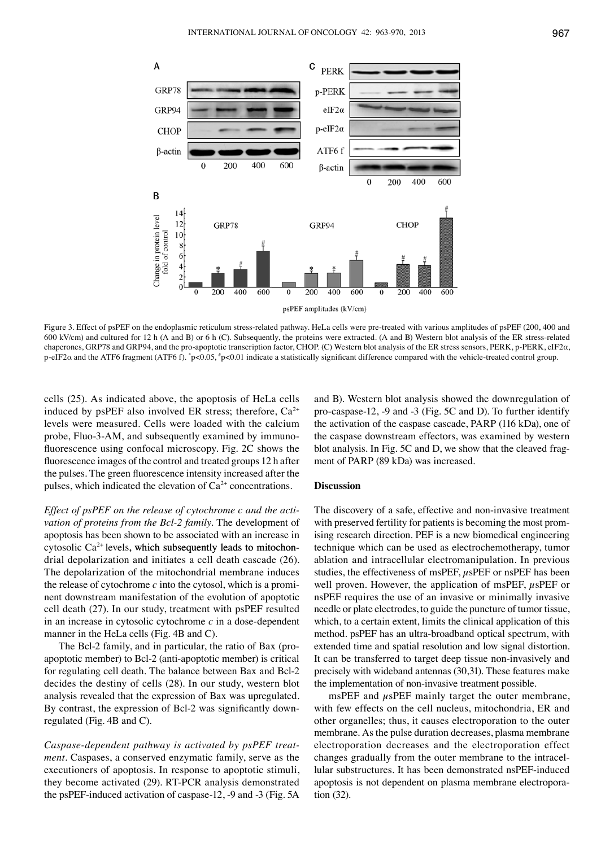

Figure 3. Effect of psPEF on the endoplasmic reticulum stress-related pathway. HeLa cells were pre-treated with various amplitudes of psPEF (200, 400 and 600 kV/cm) and cultured for 12 h (A and B) or 6 h (C). Subsequently, the proteins were extracted. (A and B) Western blot analysis of the ER stress-related chaperones, GRP78 and GRP94, and the pro-apoptotic transcription factor, CHOP. (C) Western blot analysis of the ER stress sensors, PERK, p-PERK, eIF2α, p-eIF2 $\alpha$  and the ATF6 fragment (ATF6 f). \*p<0.05, \*p<0.01 indicate a statistically significant difference compared with the vehicle-treated control group.

cells (25). As indicated above, the apoptosis of HeLa cells induced by psPEF also involved ER stress; therefore,  $Ca^{2+}$ levels were measured. Cells were loaded with the calcium probe, Fluo-3-AM, and subsequently examined by immunofluorescence using confocal microscopy. Fig. 2C shows the fluorescence images of the control and treated groups 12 h after the pulses. The green fluorescence intensity increased after the pulses, which indicated the elevation of  $Ca<sup>2+</sup>$  concentrations.

*Effect of psPEF on the release of cytochrome c and the activation of proteins from the Bcl-2 family.* The development of apoptosis has been shown to be associated with an increase in cytosolic  $Ca^{2+}$  levels, which subsequently leads to mitochondrial depolarization and initiates a cell death cascade (26). The depolarization of the mitochondrial membrane induces the release of cytochrome *c* into the cytosol, which is a prominent downstream manifestation of the evolution of apoptotic cell death (27). In our study, treatment with psPEF resulted in an increase in cytosolic cytochrome *c* in a dose-dependent manner in the HeLa cells (Fig. 4B and C).

The Bcl-2 family, and in particular, the ratio of Bax (proapoptotic member) to Bcl-2 (anti-apoptotic member) is critical for regulating cell death. The balance between Bax and Bcl-2 decides the destiny of cells (28). In our study, western blot analysis revealed that the expression of Bax was upregulated. By contrast, the expression of Bcl-2 was significantly downregulated (Fig. 4B and C).

*Caspase-dependent pathway is activated by psPEF treatment*. Caspases, a conserved enzymatic family, serve as the executioners of apoptosis. In response to apoptotic stimuli, they become activated (29). RT-PCR analysis demonstrated the psPEF-induced activation of caspase-12, -9 and -3 (Fig. 5A

and B). Western blot analysis showed the downregulation of pro-caspase-12, -9 and -3 (Fig. 5C and D). To further identify the activation of the caspase cascade, PARP (116 kDa), one of the caspase downstream effectors, was examined by western blot analysis. In Fig. 5C and D, we show that the cleaved fragment of PARP (89 kDa) was increased.

## **Discussion**

The discovery of a safe, effective and non-invasive treatment with preserved fertility for patients is becoming the most promising research direction. PEF is a new biomedical engineering technique which can be used as electrochemotherapy, tumor ablation and intracellular electromanipulation. In previous studies, the effectiveness of msPEF,  $\mu$ sPEF or nsPEF has been well proven. However, the application of msPEF,  $\mu$ sPEF or nsPEF requires the use of an invasive or minimally invasive needle or plate electrodes, to guide the puncture of tumor tissue, which, to a certain extent, limits the clinical application of this method. psPEF has an ultra-broadband optical spectrum, with extended time and spatial resolution and low signal distortion. It can be transferred to target deep tissue non-invasively and precisely with wideband antennas (30,31). These features make the implementation of non-invasive treatment possible.

 $msPEF$  and  $\mu sPEF$  mainly target the outer membrane, with few effects on the cell nucleus, mitochondria, ER and other organelles; thus, it causes electroporation to the outer membrane. As the pulse duration decreases, plasma membrane electroporation decreases and the electroporation effect changes gradually from the outer membrane to the intracellular substructures. It has been demonstrated nsPEF-induced apoptosis is not dependent on plasma membrane electroporation (32).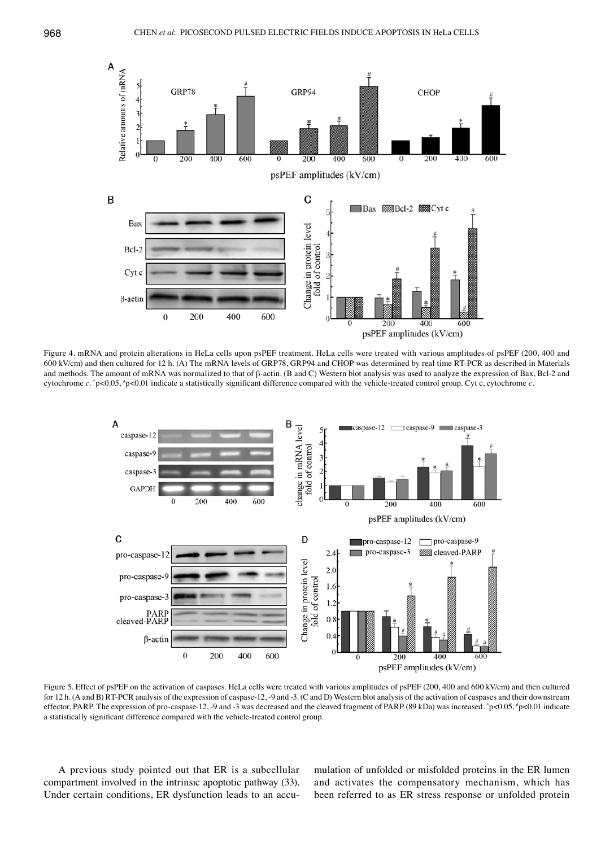

Figure 4. mRNA and protein alterations in HeLa cells upon psPEF treatment. HeLa cells were treated with various amplitudes of psPEF (200, 400 and 600 kV/cm) and then cultured for 12 h. (A) The mRNA levels of GRP78, GRP94 and CHOP was determined by real time RT-PCR as described in Materials and methods. The amount of mRNA was normalized to that of β-actin. (B and C) Western blot analysis was used to analyze the expression of Bax, Bcl-2 and cytochrome *c*. \* p<0.05, # p<0.01 indicate a statistically significant difference compared with the vehicle-treated control group. Cyt c, cytochrome *c*.



Figure 5. Effect of psPEF on the activation of caspases. HeLa cells were treated with various amplitudes of psPEF (200, 400 and 600 kV/cm) and then cultured for 12 h. (A and B) RT-PCR analysis of the expression of caspase-12, -9 and -3. (C and D) Western blot analysis of the activation of caspases and their downstream effector, PARP. The expression of pro-caspase-12, -9 and -3 was decreased and the cleaved fragment of PARP (89 kDa) was increased. \*p<0.05, \*p<0.01 indicate a statistically significant difference compared with the vehicle-treated control group.

A previous study pointed out that ER is a subcellular compartment involved in the intrinsic apoptotic pathway (33). Under certain conditions, ER dysfunction leads to an accumulation of unfolded or misfolded proteins in the ER lumen and activates the compensatory mechanism, which has been referred to as ER stress response or unfolded protein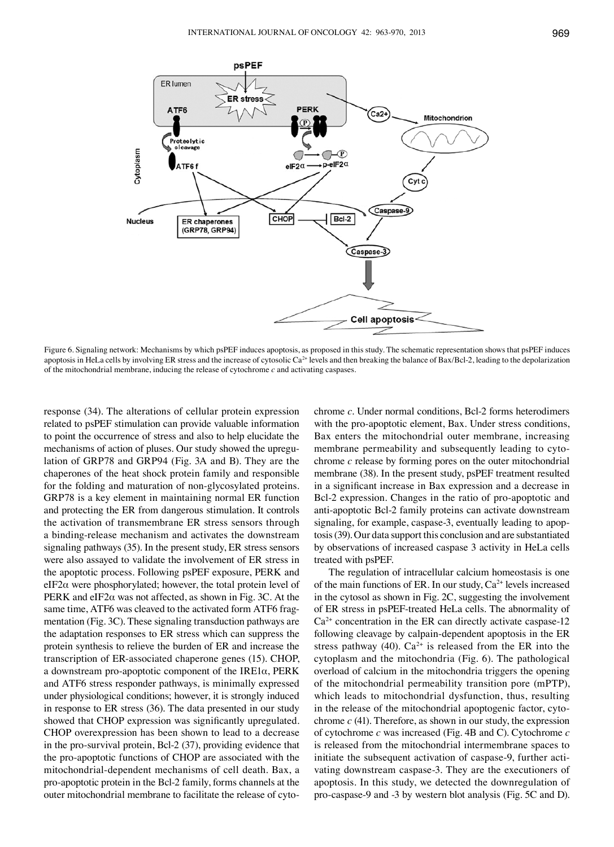

Figure 6. Signaling network: Mechanisms by which psPEF induces apoptosis, as proposed in this study. The schematic representation shows that psPEF induces apoptosis in HeLa cells by involving ER stress and the increase of cytosolic  $Ca<sup>2+</sup>$  levels and then breaking the balance of Bax/Bcl-2, leading to the depolarization of the mitochondrial membrane, inducing the release of cytochrome  $c$  and activating caspases.

response (34). The alterations of cellular protein expression related to psPEF stimulation can provide valuable information to point the occurrence of stress and also to help elucidate the mechanisms of action of pluses. Our study showed the upregulation of GRP78 and GRP94 (Fig. 3A and B). They are the chaperones of the heat shock protein family and responsible for the folding and maturation of non-glycosylated proteins. GRP78 is a key element in maintaining normal ER function and protecting the ER from dangerous stimulation. It controls the activation of transmembrane ER stress sensors through a binding-release mechanism and activates the downstream signaling pathways (35). In the present study, ER stress sensors were also assayed to validate the involvement of ER stress in the apoptotic process. Following psPEF exposure, PERK and eIF2 $\alpha$  were phosphorylated; however, the total protein level of PERK and eIF2 $α$  was not affected, as shown in Fig. 3C. At the same time, ATF6 was cleaved to the activated form ATF6 fragmentation (Fig. 3C). These signaling transduction pathways are the adaptation responses to ER stress which can suppress the protein synthesis to relieve the burden of ER and increase the transcription of ER-associated chaperone genes (15). CHOP, a downstream pro-apoptotic component of the IRE1α, PERK and ATF6 stress responder pathways, is minimally expressed under physiological conditions; however, it is strongly induced in response to ER stress (36). The data presented in our study showed that CHOP expression was significantly upregulated. CHOP overexpression has been shown to lead to a decrease in the pro-survival protein, Bcl-2 (37), providing evidence that the pro-apoptotic functions of CHOP are associated with the mitochondrial-dependent mechanisms of cell death. Bax, a pro-apoptotic protein in the Bcl-2 family, forms channels at the outer mitochondrial membrane to facilitate the release of cytochrome *c*. Under normal conditions, Bcl-2 forms heterodimers with the pro-apoptotic element, Bax. Under stress conditions, Bax enters the mitochondrial outer membrane, increasing membrane permeability and subsequently leading to cytochrome *c* release by forming pores on the outer mitochondrial membrane (38). In the present study, psPEF treatment resulted in a significant increase in Bax expression and a decrease in Bcl-2 expression. Changes in the ratio of pro-apoptotic and anti-apoptotic Bcl-2 family proteins can activate downstream signaling, for example, caspase-3, eventually leading to apoptosis (39). Our data support this conclusion and are substantiated by observations of increased caspase 3 activity in HeLa cells treated with psPEF.

The regulation of intracellular calcium homeostasis is one of the main functions of ER. In our study,  $Ca^{2+}$  levels increased in the cytosol as shown in Fig. 2C, suggesting the involvement of ER stress in psPEF-treated HeLa cells. The abnormality of  $Ca<sup>2+</sup>$  concentration in the ER can directly activate caspase-12 following cleavage by calpain-dependent apoptosis in the ER stress pathway (40).  $Ca^{2+}$  is released from the ER into the cytoplasm and the mitochondria (Fig. 6). The pathological overload of calcium in the mitochondria triggers the opening of the mitochondrial permeability transition pore (mPTP), which leads to mitochondrial dysfunction, thus, resulting in the release of the mitochondrial apoptogenic factor, cytochrome *c* (41). Therefore, as shown in our study, the expression of cytochrome *c* was increased (Fig. 4B and C). Cytochrome *c* is released from the mitochondrial intermembrane spaces to initiate the subsequent activation of caspase-9, further activating downstream caspase-3. They are the executioners of apoptosis. In this study, we detected the downregulation of pro-caspase-9 and -3 by western blot analysis (Fig. 5C and D).